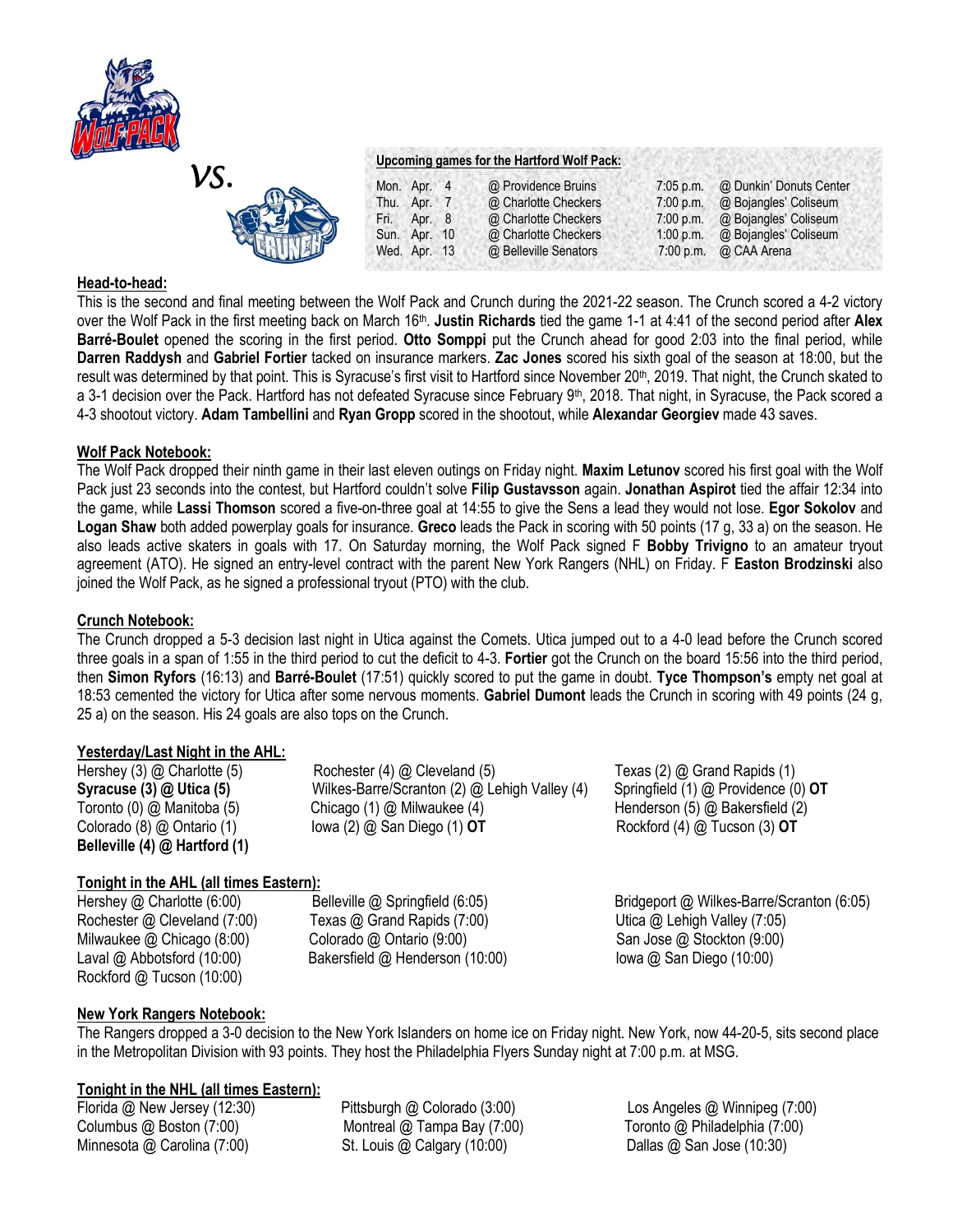

### *VS.*  **Upcoming games for the Hartford Wolf Pack:** Mon. Apr. 4 @ Providence Bruins 7:05 p.m. @ Dunkin' Donuts Center<br>Thu. Apr. 7 @ Charlotte Checkers 7:00 p.m. @ Bojangles' Coliseum @ Charlotte Checkers 7:00 p.m. @ Bojangles' Coliseum Fri. Apr. 8 @ Charlotte Checkers 7:00 p.m. @ Bojangles' Coliseum Sun. Apr. 10 @ Charlotte Checkers 1:00 p.m. @ Bojangles' Coliseum Wed. Apr. 13 @ Belleville Senators 7:00 p.m. @ CAA Arena

# **Head-to-head:**

This is the second and final meeting between the Wolf Pack and Crunch during the 2021-22 season. The Crunch scored a 4-2 victory over the Wolf Pack in the first meeting back on March 16<sup>th</sup>. **Justin Richards** tied the game 1-1 at 4:41 of the second period after Alex **Barré-Boulet** opened the scoring in the first period. **Otto Somppi** put the Crunch ahead for good 2:03 into the final period, while **Darren Raddysh** and **Gabriel Fortier** tacked on insurance markers. **Zac Jones** scored his sixth goal of the season at 18:00, but the result was determined by that point. This is Syracuse's first visit to Hartford since November 20<sup>th</sup>, 2019. That night, the Crunch skated to a 3-1 decision over the Pack. Hartford has not defeated Syracuse since February 9<sup>th</sup>, 2018. That night, in Syracuse, the Pack scored a 4-3 shootout victory. **Adam Tambellini** and **Ryan Gropp** scored in the shootout, while **Alexandar Georgiev** made 43 saves.

# **Wolf Pack Notebook:**

The Wolf Pack dropped their ninth game in their last eleven outings on Friday night. **Maxim Letunov** scored his first goal with the Wolf Pack just 23 seconds into the contest, but Hartford couldn't solve **Filip Gustavsson** again. **Jonathan Aspirot** tied the affair 12:34 into the game, while **Lassi Thomson** scored a five-on-three goal at 14:55 to give the Sens a lead they would not lose. **Egor Sokolov** and **Logan Shaw** both added powerplay goals for insurance. **Greco** leads the Pack in scoring with 50 points (17 g, 33 a) on the season. He also leads active skaters in goals with 17. On Saturday morning, the Wolf Pack signed F **Bobby Trivigno** to an amateur tryout agreement (ATO). He signed an entry-level contract with the parent New York Rangers (NHL) on Friday. F **Easton Brodzinski** also joined the Wolf Pack, as he signed a professional tryout (PTO) with the club.

# **Crunch Notebook:**

The Crunch dropped a 5-3 decision last night in Utica against the Comets. Utica jumped out to a 4-0 lead before the Crunch scored three goals in a span of 1:55 in the third period to cut the deficit to 4-3. **Fortier** got the Crunch on the board 15:56 into the third period, then **Simon Ryfors** (16:13) and **Barré-Boulet** (17:51) quickly scored to put the game in doubt. **Tyce Thompson's** empty net goal at 18:53 cemented the victory for Utica after some nervous moments. **Gabriel Dumont** leads the Crunch in scoring with 49 points (24 g, 25 a) on the season. His 24 goals are also tops on the Crunch.

# **Yesterday/Last Night in the AHL:**

**Belleville (4) @ Hartford (1)**

Hershey (3) @ Charlotte (5) Rochester (4) @ Cleveland (5) Texas (2) @ Grand Rapids (1) **Syracuse (3) @ Utica (5)** Wilkes-Barre/Scranton (2) @ Lehigh Valley (4) Springfield (1) @ Providence (0) **OT** Toronto (0) @ Manitoba (5) Chicago (1) @ Milwaukee (4) Henderson (5) @ Bakersfield (2) Colorado (8) @ Ontario (1) Iowa (2) @ San Diego (1) **OT** Rockford (4) @ Tucson (3) **OT**

# **Tonight in the AHL (all times Eastern):**

Rockford @ Tucson (10:00)

Rochester @ Cleveland (7:00) Texas @ Grand Rapids (7:00) Utica @ Lehigh Valley (7:05) Milwaukee @ Chicago (8:00) Colorado @ Ontario (9:00) San Jose @ Stockton (9:00) Laval @ Abbotsford (10:00) Bakersfield @ Henderson (10:00) Iowa @ San Diego (10:00)

Hershey @ Charlotte (6:00) Belleville @ Springfield (6:05) Bridgeport @ Wilkes-Barre/Scranton (6:05)

# **New York Rangers Notebook:**

The Rangers dropped a 3-0 decision to the New York Islanders on home ice on Friday night. New York, now 44-20-5, sits second place in the Metropolitan Division with 93 points. They host the Philadelphia Flyers Sunday night at 7:00 p.m. at MSG.

# **Tonight in the NHL (all times Eastern):**

Columbus @ Boston (7:00) Montreal @ Tampa Bay (7:00) Toronto @ Philadelphia (7:00) Minnesota @ Carolina (7:00) St. Louis @ Calgary (10:00) Dallas @ San Jose (10:30)

Florida @ New Jersey (12:30) Pittsburgh @ Colorado (3:00) Los Angeles @ Winnipeg (7:00)